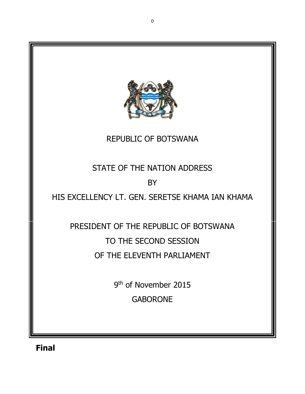

Final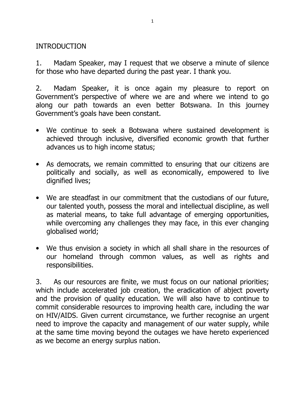#### INTRODUCTION

1. Madam Speaker, may I request that we observe a minute of silence for those who have departed during the past year. I thank you.

2. Madam Speaker, it is once again my pleasure to report on Government's perspective of where we are and where we intend to go along our path towards an even better Botswana. In this journey Government's goals have been constant.

- We continue to seek a Botswana where sustained development is achieved through inclusive, diversified economic growth that further advances us to high income status;
- As democrats, we remain committed to ensuring that our citizens are politically and socially, as well as economically, empowered to live dignified lives;
- We are steadfast in our commitment that the custodians of our future, our talented youth, possess the moral and intellectual discipline, as well as material means, to take full advantage of emerging opportunities, while overcoming any challenges they may face, in this ever changing globalised world;
- We thus envision a society in which all shall share in the resources of our homeland through common values, as well as rights and responsibilities.

3. As our resources are finite, we must focus on our national priorities; which include accelerated job creation, the eradication of abject poverty and the provision of quality education. We will also have to continue to commit considerable resources to improving health care, including the war on HIV/AIDS. Given current circumstance, we further recognise an urgent need to improve the capacity and management of our water supply, while at the same time moving beyond the outages we have hereto experienced as we become an energy surplus nation.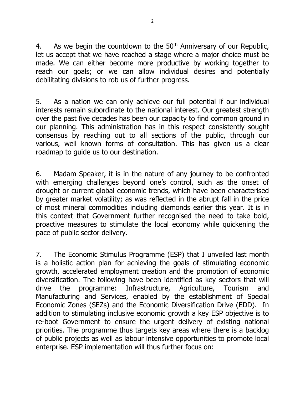4. As we begin the countdown to the  $50<sup>th</sup>$  Anniversary of our Republic, let us accept that we have reached a stage where a major choice must be made. We can either become more productive by working together to reach our goals; or we can allow individual desires and potentially debilitating divisions to rob us of further progress.

5. As a nation we can only achieve our full potential if our individual interests remain subordinate to the national interest. Our greatest strength over the past five decades has been our capacity to find common ground in our planning. This administration has in this respect consistently sought consensus by reaching out to all sections of the public, through our various, well known forms of consultation. This has given us a clear roadmap to guide us to our destination.

6. Madam Speaker, it is in the nature of any journey to be confronted with emerging challenges beyond one's control, such as the onset of drought or current global economic trends, which have been characterised by greater market volatility; as was reflected in the abrupt fall in the price of most mineral commodities including diamonds earlier this year. It is in this context that Government further recognised the need to take bold, proactive measures to stimulate the local economy while quickening the pace of public sector delivery.

7. The Economic Stimulus Programme (ESP) that I unveiled last month is a holistic action plan for achieving the goals of stimulating economic growth, accelerated employment creation and the promotion of economic diversification. The following have been identified as key sectors that will drive the programme: Infrastructure, Agriculture, Tourism and Manufacturing and Services, enabled by the establishment of Special Economic Zones (SEZs) and the Economic Diversification Drive (EDD). In addition to stimulating inclusive economic growth a key ESP objective is to re-boot Government to ensure the urgent delivery of existing national priorities. The programme thus targets key areas where there is a backlog of public projects as well as labour intensive opportunities to promote local enterprise. ESP implementation will thus further focus on: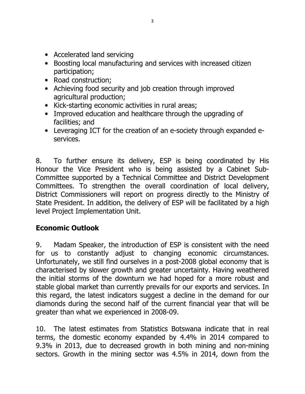- Accelerated land servicing
- Boosting local manufacturing and services with increased citizen participation;
- Road construction:
- Achieving food security and job creation through improved agricultural production;
- Kick-starting economic activities in rural areas;
- Improved education and healthcare through the upgrading of facilities; and
- Leveraging ICT for the creation of an e-society through expanded eservices.

8. To further ensure its delivery, ESP is being coordinated by His Honour the Vice President who is being assisted by a Cabinet Sub-Committee supported by a Technical Committee and District Development Committees. To strengthen the overall coordination of local delivery, District Commissioners will report on progress directly to the Ministry of State President. In addition, the delivery of ESP will be facilitated by a high level Project Implementation Unit.

# Economic Outlook

9. Madam Speaker, the introduction of ESP is consistent with the need for us to constantly adjust to changing economic circumstances. Unfortunately, we still find ourselves in a post-2008 global economy that is characterised by slower growth and greater uncertainty. Having weathered the initial storms of the downturn we had hoped for a more robust and stable global market than currently prevails for our exports and services. In this regard, the latest indicators suggest a decline in the demand for our diamonds during the second half of the current financial year that will be greater than what we experienced in 2008-09.

10. The latest estimates from Statistics Botswana indicate that in real terms, the domestic economy expanded by 4.4% in 2014 compared to 9.3% in 2013, due to decreased growth in both mining and non-mining sectors. Growth in the mining sector was 4.5% in 2014, down from the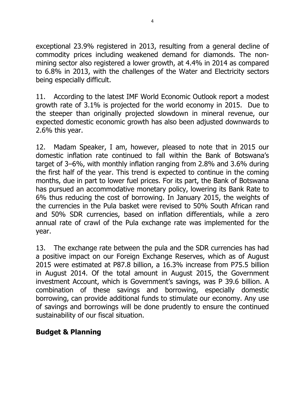exceptional 23.9% registered in 2013, resulting from a general decline of commodity prices including weakened demand for diamonds. The nonmining sector also registered a lower growth, at 4.4% in 2014 as compared to 6.8% in 2013, with the challenges of the Water and Electricity sectors being especially difficult.

11. According to the latest IMF World Economic Outlook report a modest growth rate of 3.1% is projected for the world economy in 2015. Due to the steeper than originally projected slowdown in mineral revenue, our expected domestic economic growth has also been adjusted downwards to 2.6% this year.

12. Madam Speaker, I am, however, pleased to note that in 2015 our domestic inflation rate continued to fall within the Bank of Botswana's target of 3–6%, with monthly inflation ranging from 2.8% and 3.6% during the first half of the year. This trend is expected to continue in the coming months, due in part to lower fuel prices. For its part, the Bank of Botswana has pursued an accommodative monetary policy, lowering its Bank Rate to 6% thus reducing the cost of borrowing. In January 2015, the weights of the currencies in the Pula basket were revised to 50% South African rand and 50% SDR currencies, based on inflation differentials, while a zero annual rate of crawl of the Pula exchange rate was implemented for the year.

13. The exchange rate between the pula and the SDR currencies has had a positive impact on our Foreign Exchange Reserves, which as of August 2015 were estimated at P87.8 billion, a 16.3% increase from P75.5 billion in August 2014. Of the total amount in August 2015, the Government investment Account, which is Government's savings, was P 39.6 billion. A combination of these savings and borrowing, especially domestic borrowing, can provide additional funds to stimulate our economy. Any use of savings and borrowings will be done prudently to ensure the continued sustainability of our fiscal situation.

#### Budget & Planning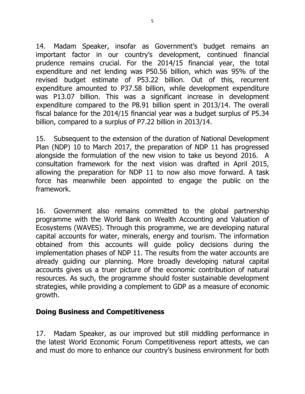14. Madam Speaker, insofar as Government's budget remains an important factor in our country's development, continued financial prudence remains crucial. For the 2014/15 financial year, the total expenditure and net lending was P50.56 billion, which was 95% of the revised budget estimate of P53.22 billion. Out of this, recurrent expenditure amounted to P37.58 billion, while development expenditure was P13.07 billion. This was a significant increase in development expenditure compared to the P8.91 billion spent in 2013/14. The overall fiscal balance for the 2014/15 financial year was a budget surplus of P5.34 billion, compared to a surplus of P7.22 billion in 2013/14.

15. Subsequent to the extension of the duration of National Development Plan (NDP) 10 to March 2017, the preparation of NDP 11 has progressed alongside the formulation of the new vision to take us beyond 2016. A consultation framework for the next vision was drafted in April 2015, allowing the preparation for NDP 11 to now also move forward. A task force has meanwhile been appointed to engage the public on the framework.

16. Government also remains committed to the global partnership programme with the World Bank on Wealth Accounting and Valuation of Ecosystems (WAVES). Through this programme, we are developing natural capital accounts for water, minerals, energy and tourism. The information obtained from this accounts will guide policy decisions during the implementation phases of NDP 11. The results from the water accounts are already guiding our planning. More broadly developing natural capital accounts gives us a truer picture of the economic contribution of natural resources. As such, the programme should foster sustainable development strategies, while providing a complement to GDP as a measure of economic growth.

#### Doing Business and Competitiveness

17. Madam Speaker, as our improved but still middling performance in the latest World Economic Forum Competitiveness report attests, we can and must do more to enhance our country's business environment for both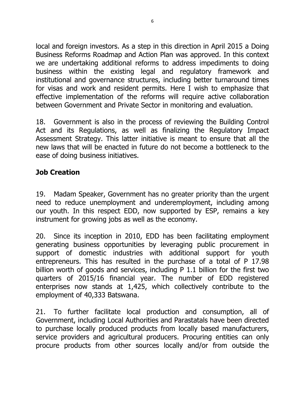local and foreign investors. As a step in this direction in April 2015 a Doing Business Reforms Roadmap and Action Plan was approved. In this context we are undertaking additional reforms to address impediments to doing business within the existing legal and regulatory framework and institutional and governance structures, including better turnaround times for visas and work and resident permits. Here I wish to emphasize that effective implementation of the reforms will require active collaboration between Government and Private Sector in monitoring and evaluation.

18. Government is also in the process of reviewing the Building Control Act and its Regulations, as well as finalizing the Regulatory Impact Assessment Strategy. This latter initiative is meant to ensure that all the new laws that will be enacted in future do not become a bottleneck to the ease of doing business initiatives.

### Job Creation

19. Madam Speaker, Government has no greater priority than the urgent need to reduce unemployment and underemployment, including among our youth. In this respect EDD, now supported by ESP, remains a key instrument for growing jobs as well as the economy.

20. Since its inception in 2010, EDD has been facilitating employment generating business opportunities by leveraging public procurement in support of domestic industries with additional support for youth entrepreneurs. This has resulted in the purchase of a total of P 17.98 billion worth of goods and services, including P 1.1 billion for the first two quarters of 2015/16 financial year. The number of EDD registered enterprises now stands at 1,425, which collectively contribute to the employment of 40,333 Batswana.

21. To further facilitate local production and consumption, all of Government, including Local Authorities and Parastatals have been directed to purchase locally produced products from locally based manufacturers, service providers and agricultural producers. Procuring entities can only procure products from other sources locally and/or from outside the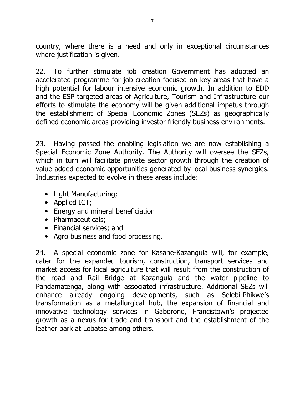country, where there is a need and only in exceptional circumstances where justification is given.

22. To further stimulate job creation Government has adopted an accelerated programme for job creation focused on key areas that have a high potential for labour intensive economic growth. In addition to EDD and the ESP targeted areas of Agriculture, Tourism and Infrastructure our efforts to stimulate the economy will be given additional impetus through the establishment of Special Economic Zones (SEZs) as geographically defined economic areas providing investor friendly business environments.

23. Having passed the enabling legislation we are now establishing a Special Economic Zone Authority. The Authority will oversee the SEZs, which in turn will facilitate private sector growth through the creation of value added economic opportunities generated by local business synergies. Industries expected to evolve in these areas include:

- Light Manufacturing;
- Applied ICT;
- Energy and mineral beneficiation
- Pharmaceuticals:
- Financial services; and
- Agro business and food processing.

24. A special economic zone for Kasane-Kazangula will, for example, cater for the expanded tourism, construction, transport services and market access for local agriculture that will result from the construction of the road and Rail Bridge at Kazangula and the water pipeline to Pandamatenga, along with associated infrastructure. Additional SEZs will enhance already ongoing developments, such as Selebi-Phikwe's transformation as a metallurgical hub, the expansion of financial and innovative technology services in Gaborone, Francistown's projected growth as a nexus for trade and transport and the establishment of the leather park at Lobatse among others.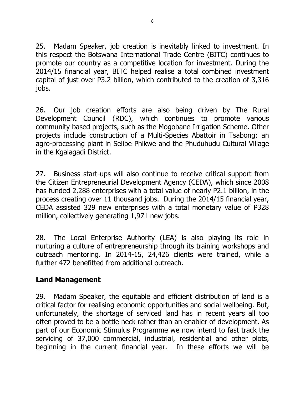25. Madam Speaker, job creation is inevitably linked to investment. In this respect the Botswana International Trade Centre (BITC) continues to promote our country as a competitive location for investment. During the 2014/15 financial year, BITC helped realise a total combined investment capital of just over P3.2 billion, which contributed to the creation of 3,316 jobs.

26. Our job creation efforts are also being driven by The Rural Development Council (RDC), which continues to promote various community based projects, such as the Mogobane Irrigation Scheme. Other projects include construction of a Multi-Species Abattoir in Tsabong; an agro-processing plant in Selibe Phikwe and the Phuduhudu Cultural Village in the Kgalagadi District.

27. Business start-ups will also continue to receive critical support from the Citizen Entrepreneurial Development Agency (CEDA), which since 2008 has funded 2,288 enterprises with a total value of nearly P2.1 billion, in the process creating over 11 thousand jobs. During the 2014/15 financial year, CEDA assisted 329 new enterprises with a total monetary value of P328 million, collectively generating 1,971 new jobs.

28. The Local Enterprise Authority (LEA) is also playing its role in nurturing a culture of entrepreneurship through its training workshops and outreach mentoring. In 2014-15, 24,426 clients were trained, while a further 472 benefitted from additional outreach.

#### Land Management

29. Madam Speaker, the equitable and efficient distribution of land is a critical factor for realising economic opportunities and social wellbeing. But, unfortunately, the shortage of serviced land has in recent years all too often proved to be a bottle neck rather than an enabler of development. As part of our Economic Stimulus Programme we now intend to fast track the servicing of 37,000 commercial, industrial, residential and other plots, beginning in the current financial year. In these efforts we will be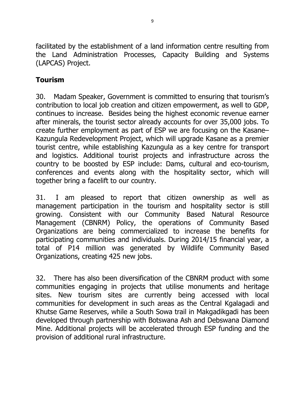facilitated by the establishment of a land information centre resulting from the Land Administration Processes, Capacity Building and Systems (LAPCAS) Project.

## Tourism

30. Madam Speaker, Government is committed to ensuring that tourism's contribution to local job creation and citizen empowerment, as well to GDP, continues to increase. Besides being the highest economic revenue earner after minerals, the tourist sector already accounts for over 35,000 jobs. To create further employment as part of ESP we are focusing on the Kasane– Kazungula Redevelopment Project, which will upgrade Kasane as a premier tourist centre, while establishing Kazungula as a key centre for transport and logistics. Additional tourist projects and infrastructure across the country to be boosted by ESP include: Dams, cultural and eco-tourism, conferences and events along with the hospitality sector, which will together bring a facelift to our country.

31. I am pleased to report that citizen ownership as well as management participation in the tourism and hospitality sector is still growing. Consistent with our Community Based Natural Resource Management (CBNRM) Policy, the operations of Community Based Organizations are being commercialized to increase the benefits for participating communities and individuals. During 2014/15 financial year, a total of P14 million was generated by Wildlife Community Based Organizations, creating 425 new jobs.

32. There has also been diversification of the CBNRM product with some communities engaging in projects that utilise monuments and heritage sites. New tourism sites are currently being accessed with local communities for development in such areas as the Central Kgalagadi and Khutse Game Reserves, while a South Sowa trail in Makgadikgadi has been developed through partnership with Botswana Ash and Debswana Diamond Mine. Additional projects will be accelerated through ESP funding and the provision of additional rural infrastructure.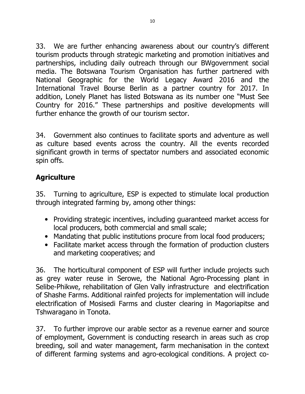33. We are further enhancing awareness about our country's different tourism products through strategic marketing and promotion initiatives and partnerships, including daily outreach through our BWgovernment social media. The Botswana Tourism Organisation has further partnered with National Geographic for the World Legacy Award 2016 and the International Travel Bourse Berlin as a partner country for 2017. In addition, Lonely Planet has listed Botswana as its number one "Must See Country for 2016." These partnerships and positive developments will further enhance the growth of our tourism sector.

34. Government also continues to facilitate sports and adventure as well as culture based events across the country. All the events recorded significant growth in terms of spectator numbers and associated economic spin offs.

# **Agriculture**

35. Turning to agriculture, ESP is expected to stimulate local production through integrated farming by, among other things:

- Providing strategic incentives, including guaranteed market access for local producers, both commercial and small scale;
- Mandating that public institutions procure from local food producers;
- Facilitate market access through the formation of production clusters and marketing cooperatives; and

36. The horticultural component of ESP will further include projects such as grey water reuse in Serowe, the National Agro-Processing plant in Selibe-Phikwe, rehabilitation of Glen Vally infrastructure and electrification of Shashe Farms. Additional rainfed projects for implementation will include electrification of Mosisedi Farms and cluster clearing in Magoriapitse and Tshwaragano in Tonota.

37. To further improve our arable sector as a revenue earner and source of employment, Government is conducting research in areas such as crop breeding, soil and water management, farm mechanisation in the context of different farming systems and agro-ecological conditions. A project co-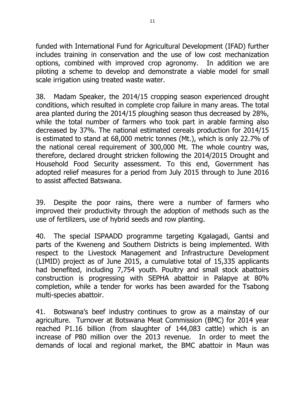funded with International Fund for Agricultural Development (IFAD) further includes training in conservation and the use of low cost mechanization options, combined with improved crop agronomy. In addition we are piloting a scheme to develop and demonstrate a viable model for small scale irrigation using treated waste water.

38. Madam Speaker, the 2014/15 cropping season experienced drought conditions, which resulted in complete crop failure in many areas. The total area planted during the 2014/15 ploughing season thus decreased by 28%, while the total number of farmers who took part in arable farming also decreased by 37%. The national estimated cereals production for 2014/15 is estimated to stand at 68,000 metric tonnes (Mt.), which is only 22.7% of the national cereal requirement of 300,000 Mt. The whole country was, therefore, declared drought stricken following the 2014/2015 Drought and Household Food Security assessment. To this end, Government has adopted relief measures for a period from July 2015 through to June 2016 to assist affected Batswana.

39. Despite the poor rains, there were a number of farmers who improved their productivity through the adoption of methods such as the use of fertilizers, use of hybrid seeds and row planting.

40. The special ISPAADD programme targeting Kgalagadi, Gantsi and parts of the Kweneng and Southern Districts is being implemented. With respect to the Livestock Management and Infrastructure Development (LIMID) project as of June 2015, a cumulative total of 15,335 applicants had benefited, including 7,754 youth. Poultry and small stock abattoirs construction is progressing with SEPHA abattoir in Palapye at 80% completion, while a tender for works has been awarded for the Tsabong multi-species abattoir.

41. Botswana's beef industry continues to grow as a mainstay of our agriculture. Turnover at Botswana Meat Commission (BMC) for 2014 year reached P1.16 billion (from slaughter of 144,083 cattle) which is an increase of P80 million over the 2013 revenue. In order to meet the demands of local and regional market, the BMC abattoir in Maun was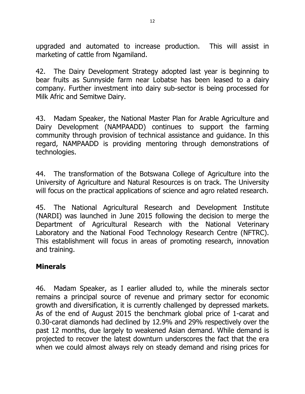upgraded and automated to increase production. This will assist in marketing of cattle from Ngamiland.

42. The Dairy Development Strategy adopted last year is beginning to bear fruits as Sunnyside farm near Lobatse has been leased to a dairy company. Further investment into dairy sub-sector is being processed for Milk Afric and Semitwe Dairy.

43. Madam Speaker, the National Master Plan for Arable Agriculture and Dairy Development (NAMPAADD) continues to support the farming community through provision of technical assistance and guidance. In this regard, NAMPAADD is providing mentoring through demonstrations of technologies.

44. The transformation of the Botswana College of Agriculture into the University of Agriculture and Natural Resources is on track. The University will focus on the practical applications of science and agro related research.

45. The National Agricultural Research and Development Institute (NARDI) was launched in June 2015 following the decision to merge the Department of Agricultural Research with the National Veterinary Laboratory and the National Food Technology Research Centre (NFTRC). This establishment will focus in areas of promoting research, innovation and training.

#### Minerals

46. Madam Speaker, as I earlier alluded to, while the minerals sector remains a principal source of revenue and primary sector for economic growth and diversification, it is currently challenged by depressed markets. As of the end of August 2015 the benchmark global price of 1-carat and 0.30-carat diamonds had declined by 12.9% and 29% respectively over the past 12 months, due largely to weakened Asian demand. While demand is projected to recover the latest downturn underscores the fact that the era when we could almost always rely on steady demand and rising prices for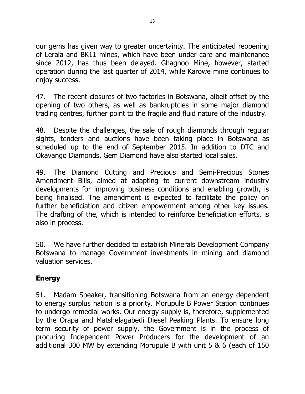our gems has given way to greater uncertainty. The anticipated reopening of Lerala and BK11 mines, which have been under care and maintenance since 2012, has thus been delayed. Ghaghoo Mine, however, started operation during the last quarter of 2014, while Karowe mine continues to enjoy success.

47. The recent closures of two factories in Botswana, albeit offset by the opening of two others, as well as bankruptcies in some major diamond trading centres, further point to the fragile and fluid nature of the industry.

48. Despite the challenges, the sale of rough diamonds through regular sights, tenders and auctions have been taking place in Botswana as scheduled up to the end of September 2015. In addition to DTC and Okavango Diamonds, Gem Diamond have also started local sales.

49. The Diamond Cutting and Precious and Semi-Precious Stones Amendment Bills, aimed at adapting to current downstream industry developments for improving business conditions and enabling growth, is being finalised. The amendment is expected to facilitate the policy on further beneficiation and citizen empowerment among other key issues. The drafting of the, which is intended to reinforce beneficiation efforts, is also in process.

50. We have further decided to establish Minerals Development Company Botswana to manage Government investments in mining and diamond valuation services.

## Energy

51. Madam Speaker, transitioning Botswana from an energy dependent to energy surplus nation is a priority. Morupule B Power Station continues to undergo remedial works. Our energy supply is, therefore, supplemented by the Orapa and Matshelagabedi Diesel Peaking Plants. To ensure long term security of power supply, the Government is in the process of procuring Independent Power Producers for the development of an additional 300 MW by extending Morupule B with unit 5 & 6 (each of 150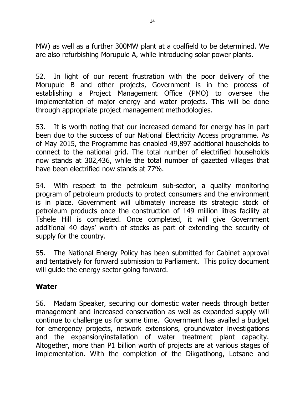MW) as well as a further 300MW plant at a coalfield to be determined. We are also refurbishing Morupule A, while introducing solar power plants.

52. In light of our recent frustration with the poor delivery of the Morupule B and other projects, Government is in the process of establishing a Project Management Office (PMO) to oversee the implementation of major energy and water projects. This will be done through appropriate project management methodologies.

53. It is worth noting that our increased demand for energy has in part been due to the success of our National Electricity Access programme. As of May 2015, the Programme has enabled 49,897 additional households to connect to the national grid. The total number of electrified households now stands at 302,436, while the total number of gazetted villages that have been electrified now stands at 77%.

54. With respect to the petroleum sub-sector, a quality monitoring program of petroleum products to protect consumers and the environment is in place. Government will ultimately increase its strategic stock of petroleum products once the construction of 149 million litres facility at Tshele Hill is completed. Once completed, it will give Government additional 40 days' worth of stocks as part of extending the security of supply for the country.

55. The National Energy Policy has been submitted for Cabinet approval and tentatively for forward submission to Parliament. This policy document will guide the energy sector going forward.

#### Water

56. Madam Speaker, securing our domestic water needs through better management and increased conservation as well as expanded supply will continue to challenge us for some time. Government has availed a budget for emergency projects, network extensions, groundwater investigations and the expansion/installation of water treatment plant capacity. Altogether, more than P1 billion worth of projects are at various stages of implementation. With the completion of the Dikgatlhong, Lotsane and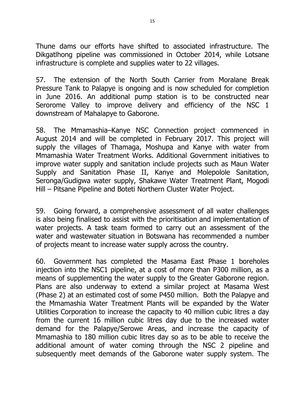Thune dams our efforts have shifted to associated infrastructure. The Dikgatlhong pipeline was commissioned in October 2014, while Lotsane infrastructure is complete and supplies water to 22 villages.

57. The extension of the North South Carrier from Moralane Break Pressure Tank to Palapye is ongoing and is now scheduled for completion in June 2016. An additional pump station is to be constructed near Serorome Valley to improve delivery and efficiency of the NSC 1 downstream of Mahalapye to Gaborone.

58. The Mmamashia–Kanye NSC Connection project commenced in August 2014 and will be completed in February 2017. This project will supply the villages of Thamaga, Moshupa and Kanye with water from Mmamashia Water Treatment Works. Additional Government initiatives to improve water supply and sanitation include projects such as Maun Water Supply and Sanitation Phase II, Kanye and Molepolole Sanitation, Seronga/Gudigwa water supply, Shakawe Water Treatment Plant, Mogodi Hill – Pitsane Pipeline and Boteti Northern Cluster Water Project.

59. Going forward, a comprehensive assessment of all water challenges is also being finalised to assist with the prioritisation and implementation of water projects. A task team formed to carry out an assessment of the water and wastewater situation in Botswana has recommended a number of projects meant to increase water supply across the country.

60. Government has completed the Masama East Phase 1 boreholes injection into the NSC1 pipeline, at a cost of more than P300 million, as a means of supplementing the water supply to the Greater Gaborone region. Plans are also underway to extend a similar project at Masama West (Phase 2) at an estimated cost of some P450 million. Both the Palapye and the Mmamashia Water Treatment Plants will be expanded by the Water Utilities Corporation to increase the capacity to 40 million cubic litres a day from the current 16 million cubic litres day due to the increased water demand for the Palapye/Serowe Areas, and increase the capacity of Mmamashia to 180 million cubic litres day so as to be able to receive the additional amount of water coming through the NSC 2 pipeline and subsequently meet demands of the Gaborone water supply system. The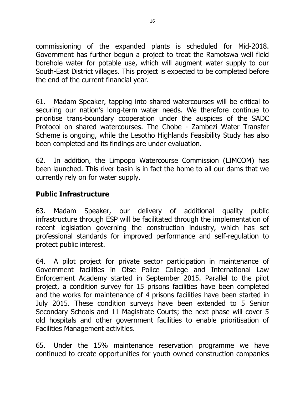commissioning of the expanded plants is scheduled for Mid-2018. Government has further begun a project to treat the Ramotswa well field borehole water for potable use, which will augment water supply to our South-East District villages. This project is expected to be completed before the end of the current financial year.

61. Madam Speaker, tapping into shared watercourses will be critical to securing our nation's long-term water needs. We therefore continue to prioritise trans-boundary cooperation under the auspices of the SADC Protocol on shared watercourses. The Chobe - Zambezi Water Transfer Scheme is ongoing, while the Lesotho Highlands Feasibility Study has also been completed and its findings are under evaluation.

62. In addition, the Limpopo Watercourse Commission (LIMCOM) has been launched. This river basin is in fact the home to all our dams that we currently rely on for water supply.

### Public Infrastructure

63. Madam Speaker, our delivery of additional quality public infrastructure through ESP will be facilitated through the implementation of recent legislation governing the construction industry, which has set professional standards for improved performance and self-regulation to protect public interest.

64. A pilot project for private sector participation in maintenance of Government facilities in Otse Police College and International Law Enforcement Academy started in September 2015. Parallel to the pilot project, a condition survey for 15 prisons facilities have been completed and the works for maintenance of 4 prisons facilities have been started in July 2015. These condition surveys have been extended to 5 Senior Secondary Schools and 11 Magistrate Courts; the next phase will cover 5 old hospitals and other government facilities to enable prioritisation of Facilities Management activities.

65. Under the 15% maintenance reservation programme we have continued to create opportunities for youth owned construction companies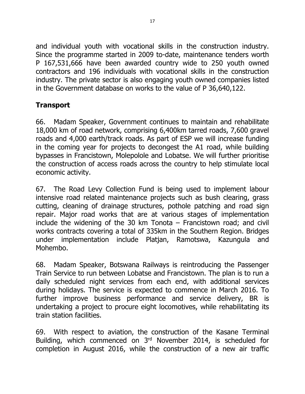and individual youth with vocational skills in the construction industry. Since the programme started in 2009 to-date, maintenance tenders worth P 167,531,666 have been awarded country wide to 250 youth owned contractors and 196 individuals with vocational skills in the construction industry. The private sector is also engaging youth owned companies listed in the Government database on works to the value of P 36,640,122.

# Transport

66. Madam Speaker, Government continues to maintain and rehabilitate 18,000 km of road network, comprising 6,400km tarred roads, 7,600 gravel roads and 4,000 earth/track roads. As part of ESP we will increase funding in the coming year for projects to decongest the A1 road, while building bypasses in Francistown, Molepolole and Lobatse. We will further prioritise the construction of access roads across the country to help stimulate local economic activity.

67. The Road Levy Collection Fund is being used to implement labour intensive road related maintenance projects such as bush clearing, grass cutting, cleaning of drainage structures, pothole patching and road sign repair. Major road works that are at various stages of implementation include the widening of the 30 km Tonota  $-$  Francistown road; and civil works contracts covering a total of 335km in the Southern Region. Bridges under implementation include Platjan, Ramotswa, Kazungula and Mohembo.

68. Madam Speaker, Botswana Railways is reintroducing the Passenger Train Service to run between Lobatse and Francistown. The plan is to run a daily scheduled night services from each end, with additional services during holidays. The service is expected to commence in March 2016. To further improve business performance and service delivery, BR is undertaking a project to procure eight locomotives, while rehabilitating its train station facilities.

69. With respect to aviation, the construction of the Kasane Terminal Building, which commenced on 3rd November 2014, is scheduled for completion in August 2016, while the construction of a new air traffic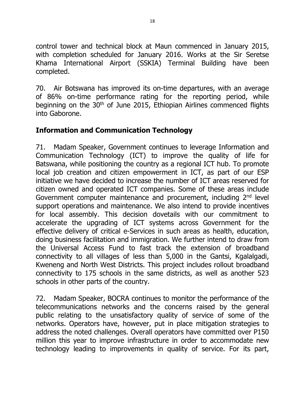control tower and technical block at Maun commenced in January 2015, with completion scheduled for January 2016. Works at the Sir Seretse Khama International Airport (SSKIA) Terminal Building have been completed.

70. Air Botswana has improved its on-time departures, with an average of 86% on-time performance rating for the reporting period, while beginning on the 30<sup>th</sup> of June 2015, Ethiopian Airlines commenced flights into Gaborone.

## Information and Communication Technology

71. Madam Speaker, Government continues to leverage Information and Communication Technology (ICT) to improve the quality of life for Batswana, while positioning the country as a regional ICT hub. To promote local job creation and citizen empowerment in ICT, as part of our ESP initiative we have decided to increase the number of ICT areas reserved for citizen owned and operated ICT companies. Some of these areas include Government computer maintenance and procurement, including 2<sup>nd</sup> level support operations and maintenance. We also intend to provide incentives for local assembly. This decision dovetails with our commitment to accelerate the upgrading of ICT systems across Government for the effective delivery of critical e-Services in such areas as health, education, doing business facilitation and immigration. We further intend to draw from the Universal Access Fund to fast track the extension of broadband connectivity to all villages of less than 5,000 in the Gantsi, Kgalalgadi, Kweneng and North West Districts. This project includes rollout broadband connectivity to 175 schools in the same districts, as well as another 523 schools in other parts of the country.

72. Madam Speaker, BOCRA continues to monitor the performance of the telecommunications networks and the concerns raised by the general public relating to the unsatisfactory quality of service of some of the networks. Operators have, however, put in place mitigation strategies to address the noted challenges. Overall operators have committed over P150 million this year to improve infrastructure in order to accommodate new technology leading to improvements in quality of service. For its part,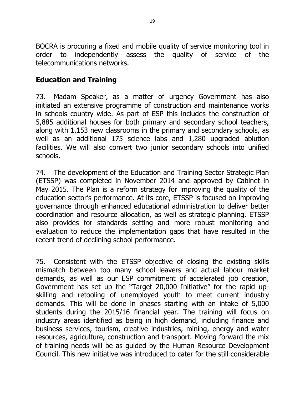BOCRA is procuring a fixed and mobile quality of service monitoring tool in order to independently assess the quality of service of the telecommunications networks.

# Education and Training

73. Madam Speaker, as a matter of urgency Government has also initiated an extensive programme of construction and maintenance works in schools country wide. As part of ESP this includes the construction of 5,885 additional houses for both primary and secondary school teachers, along with 1,153 new classrooms in the primary and secondary schools, as well as an additional 175 science labs and 1,280 upgraded ablution facilities. We will also convert two junior secondary schools into unified schools.

74. The development of the Education and Training Sector Strategic Plan (ETSSP) was completed in November 2014 and approved by Cabinet in May 2015. The Plan is a reform strategy for improving the quality of the education sector's performance. At its core, ETSSP is focused on improving governance through enhanced educational administration to deliver better coordination and resource allocation, as well as strategic planning. ETSSP also provides for standards setting and more robust monitoring and evaluation to reduce the implementation gaps that have resulted in the recent trend of declining school performance.

75. Consistent with the ETSSP objective of closing the existing skills mismatch between too many school leavers and actual labour market demands, as well as our ESP commitment of accelerated job creation, Government has set up the "Target 20,000 Initiative" for the rapid upskilling and retooling of unemployed youth to meet current industry demands. This will be done in phases starting with an intake of 5,000 students during the 2015/16 financial year. The training will focus on industry areas identified as being in high demand, including finance and business services, tourism, creative industries, mining, energy and water resources, agriculture, construction and transport. Moving forward the mix of training needs will be as guided by the Human Resource Development Council. This new initiative was introduced to cater for the still considerable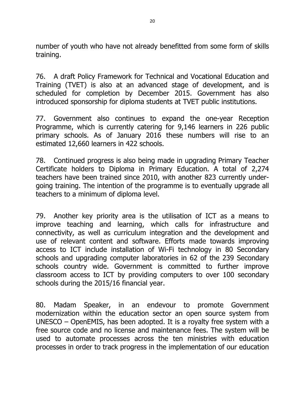number of youth who have not already benefitted from some form of skills training.

76. A draft Policy Framework for Technical and Vocational Education and Training (TVET) is also at an advanced stage of development, and is scheduled for completion by December 2015. Government has also introduced sponsorship for diploma students at TVET public institutions.

77. Government also continues to expand the one-year Reception Programme, which is currently catering for 9,146 learners in 226 public primary schools. As of January 2016 these numbers will rise to an estimated 12,660 learners in 422 schools.

78. Continued progress is also being made in upgrading Primary Teacher Certificate holders to Diploma in Primary Education. A total of 2,274 teachers have been trained since 2010, with another 823 currently undergoing training. The intention of the programme is to eventually upgrade all teachers to a minimum of diploma level.

79. Another key priority area is the utilisation of ICT as a means to improve teaching and learning, which calls for infrastructure and connectivity, as well as curriculum integration and the development and use of relevant content and software. Efforts made towards improving access to ICT include installation of Wi-Fi technology in 80 Secondary schools and upgrading computer laboratories in 62 of the 239 Secondary schools country wide. Government is committed to further improve classroom access to ICT by providing computers to over 100 secondary schools during the 2015/16 financial year.

80. Madam Speaker, in an endevour to promote Government modernization within the education sector an open source system from UNESCO – OpenEMIS, has been adopted. It is a royalty free system with a free source code and no license and maintenance fees. The system will be used to automate processes across the ten ministries with education processes in order to track progress in the implementation of our education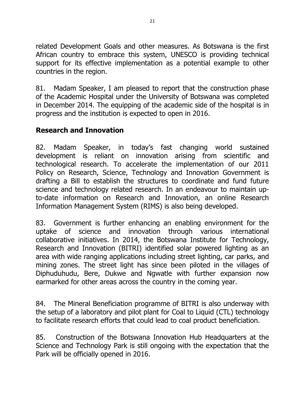related Development Goals and other measures. As Botswana is the first African country to embrace this system, UNESCO is providing technical support for its effective implementation as a potential example to other countries in the region.

81. Madam Speaker, I am pleased to report that the construction phase of the Academic Hospital under the University of Botswana was completed in December 2014. The equipping of the academic side of the hospital is in progress and the institution is expected to open in 2016.

## Research and Innovation

82. Madam Speaker, in today's fast changing world sustained development is reliant on innovation arising from scientific and technological research. To accelerate the implementation of our 2011 Policy on Research, Science, Technology and Innovation Government is drafting a Bill to establish the structures to coordinate and fund future science and technology related research. In an endeavour to maintain upto-date information on Research and Innovation, an online Research Information Management System (RIMS) is also being developed.

83. Government is further enhancing an enabling environment for the uptake of science and innovation through various international collaborative initiatives. In 2014, the Botswana Institute for Technology, Research and Innovation (BITRI) identified solar powered lighting as an area with wide ranging applications including street lighting, car parks, and mining zones. The street light has since been piloted in the villages of Diphuduhudu, Bere, Dukwe and Ngwatle with further expansion now earmarked for other areas across the country in the coming year.

84. The Mineral Beneficiation programme of BITRI is also underway with the setup of a laboratory and pilot plant for Coal to Liquid (CTL) technology to facilitate research efforts that could lead to coal product beneficiation.

85. Construction of the Botswana Innovation Hub Headquarters at the Science and Technology Park is still ongoing with the expectation that the Park will be officially opened in 2016.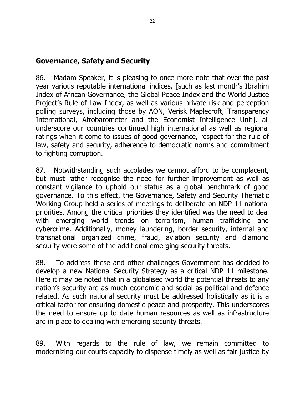#### Governance, Safety and Security

86. Madam Speaker, it is pleasing to once more note that over the past year various reputable international indices, [such as last month's Ibrahim Index of African Governance, the Global Peace Index and the World Justice Project's Rule of Law Index, as well as various private risk and perception polling surveys, including those by AON, Verisk Maplecroft, Transparency International, Afrobarometer and the Economist Intelligence Unit], all underscore our countries continued high international as well as regional ratings when it come to issues of good governance, respect for the rule of law, safety and security, adherence to democratic norms and commitment to fighting corruption.

87. Notwithstanding such accolades we cannot afford to be complacent, but must rather recognise the need for further improvement as well as constant vigilance to uphold our status as a global benchmark of good governance. To this effect, the Governance, Safety and Security Thematic Working Group held a series of meetings to deliberate on NDP 11 national priorities. Among the critical priorities they identified was the need to deal with emerging world trends on terrorism, human trafficking and cybercrime. Additionally, money laundering, border security, internal and transnational organized crime, fraud, aviation security and diamond security were some of the additional emerging security threats.

88. To address these and other challenges Government has decided to develop a new National Security Strategy as a critical NDP 11 milestone. Here it may be noted that in a globalised world the potential threats to any nation's security are as much economic and social as political and defence related. As such national security must be addressed holistically as it is a critical factor for ensuring domestic peace and prosperity. This underscores the need to ensure up to date human resources as well as infrastructure are in place to dealing with emerging security threats.

89. With regards to the rule of law, we remain committed to modernizing our courts capacity to dispense timely as well as fair justice by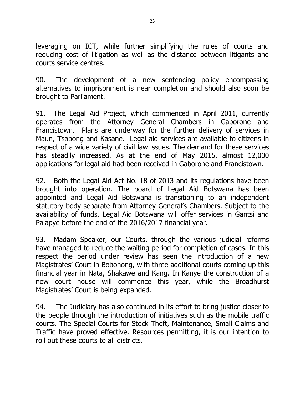leveraging on ICT, while further simplifying the rules of courts and reducing cost of litigation as well as the distance between litigants and courts service centres.

90. The development of a new sentencing policy encompassing alternatives to imprisonment is near completion and should also soon be brought to Parliament.

91. The Legal Aid Project, which commenced in April 2011, currently operates from the Attorney General Chambers in Gaborone and Francistown. Plans are underway for the further delivery of services in Maun, Tsabong and Kasane. Legal aid services are available to citizens in respect of a wide variety of civil law issues. The demand for these services has steadily increased. As at the end of May 2015, almost 12,000 applications for legal aid had been received in Gaborone and Francistown.

92. Both the Legal Aid Act No. 18 of 2013 and its regulations have been brought into operation. The board of Legal Aid Botswana has been appointed and Legal Aid Botswana is transitioning to an independent statutory body separate from Attorney General's Chambers. Subject to the availability of funds, Legal Aid Botswana will offer services in Gantsi and Palapye before the end of the 2016/2017 financial year.

93. Madam Speaker, our Courts, through the various judicial reforms have managed to reduce the waiting period for completion of cases. In this respect the period under review has seen the introduction of a new Magistrates' Court in Bobonong, with three additional courts coming up this financial year in Nata, Shakawe and Kang. In Kanye the construction of a new court house will commence this year, while the Broadhurst Magistrates' Court is being expanded.

94. The Judiciary has also continued in its effort to bring justice closer to the people through the introduction of initiatives such as the mobile traffic courts. The Special Courts for Stock Theft, Maintenance, Small Claims and Traffic have proved effective. Resources permitting, it is our intention to roll out these courts to all districts.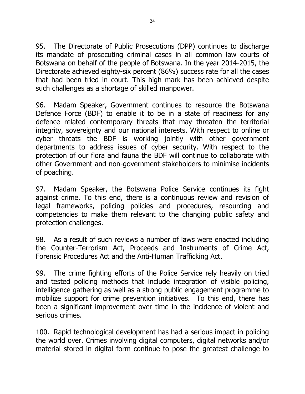95. The Directorate of Public Prosecutions (DPP) continues to discharge its mandate of prosecuting criminal cases in all common law courts of Botswana on behalf of the people of Botswana. In the year 2014-2015, the Directorate achieved eighty-six percent (86%) success rate for all the cases that had been tried in court. This high mark has been achieved despite such challenges as a shortage of skilled manpower.

96. Madam Speaker, Government continues to resource the Botswana Defence Force (BDF) to enable it to be in a state of readiness for any defence related contemporary threats that may threaten the territorial integrity, sovereignty and our national interests. With respect to online or cyber threats the BDF is working jointly with other government departments to address issues of cyber security. With respect to the protection of our flora and fauna the BDF will continue to collaborate with other Government and non-government stakeholders to minimise incidents of poaching.

97. Madam Speaker, the Botswana Police Service continues its fight against crime. To this end, there is a continuous review and revision of legal frameworks, policing policies and procedures, resourcing and competencies to make them relevant to the changing public safety and protection challenges.

98. As a result of such reviews a number of laws were enacted including the Counter-Terrorism Act, Proceeds and Instruments of Crime Act, Forensic Procedures Act and the Anti-Human Trafficking Act.

99. The crime fighting efforts of the Police Service rely heavily on tried and tested policing methods that include integration of visible policing, intelligence gathering as well as a strong public engagement programme to mobilize support for crime prevention initiatives. To this end, there has been a significant improvement over time in the incidence of violent and serious crimes.

100. Rapid technological development has had a serious impact in policing the world over. Crimes involving digital computers, digital networks and/or material stored in digital form continue to pose the greatest challenge to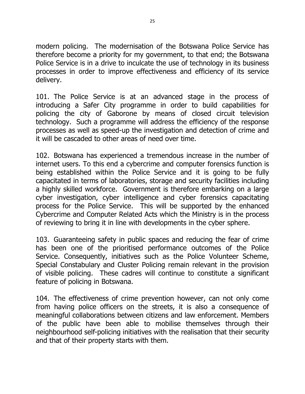modern policing. The modernisation of the Botswana Police Service has therefore become a priority for my government, to that end; the Botswana Police Service is in a drive to inculcate the use of technology in its business processes in order to improve effectiveness and efficiency of its service delivery.

101. The Police Service is at an advanced stage in the process of introducing a Safer City programme in order to build capabilities for policing the city of Gaborone by means of closed circuit television technology. Such a programme will address the efficiency of the response processes as well as speed-up the investigation and detection of crime and it will be cascaded to other areas of need over time.

102. Botswana has experienced a tremendous increase in the number of internet users. To this end a cybercrime and computer forensics function is being established within the Police Service and it is going to be fully capacitated in terms of laboratories, storage and security facilities including a highly skilled workforce. Government is therefore embarking on a large cyber investigation, cyber intelligence and cyber forensics capacitating process for the Police Service. This will be supported by the enhanced Cybercrime and Computer Related Acts which the Ministry is in the process of reviewing to bring it in line with developments in the cyber sphere.

103. Guaranteeing safety in public spaces and reducing the fear of crime has been one of the prioritised performance outcomes of the Police Service. Consequently, initiatives such as the Police Volunteer Scheme, Special Constabulary and Cluster Policing remain relevant in the provision of visible policing. These cadres will continue to constitute a significant feature of policing in Botswana.

104. The effectiveness of crime prevention however, can not only come from having police officers on the streets, it is also a consequence of meaningful collaborations between citizens and law enforcement. Members of the public have been able to mobilise themselves through their neighbourhood self-policing initiatives with the realisation that their security and that of their property starts with them.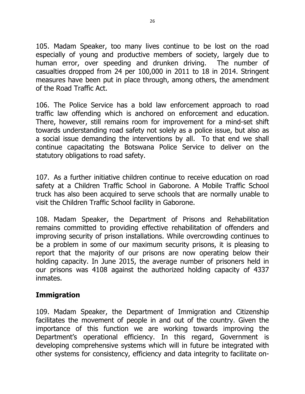105. Madam Speaker, too many lives continue to be lost on the road especially of young and productive members of society, largely due to human error, over speeding and drunken driving. The number of casualties dropped from 24 per 100,000 in 2011 to 18 in 2014. Stringent measures have been put in place through, among others, the amendment of the Road Traffic Act.

106. The Police Service has a bold law enforcement approach to road traffic law offending which is anchored on enforcement and education. There, however, still remains room for improvement for a mind-set shift towards understanding road safety not solely as a police issue, but also as a social issue demanding the interventions by all. To that end we shall continue capacitating the Botswana Police Service to deliver on the statutory obligations to road safety.

107. As a further initiative children continue to receive education on road safety at a Children Traffic School in Gaborone. A Mobile Traffic School truck has also been acquired to serve schools that are normally unable to visit the Children Traffic School facility in Gaborone.

108. Madam Speaker, the Department of Prisons and Rehabilitation remains committed to providing effective rehabilitation of offenders and improving security of prison installations. While overcrowding continues to be a problem in some of our maximum security prisons, it is pleasing to report that the majority of our prisons are now operating below their holding capacity. In June 2015, the average number of prisoners held in our prisons was 4108 against the authorized holding capacity of 4337 inmates.

#### Immigration

109. Madam Speaker, the Department of Immigration and Citizenship facilitates the movement of people in and out of the country. Given the importance of this function we are working towards improving the Department's operational efficiency. In this regard, Government is developing comprehensive systems which will in future be integrated with other systems for consistency, efficiency and data integrity to facilitate on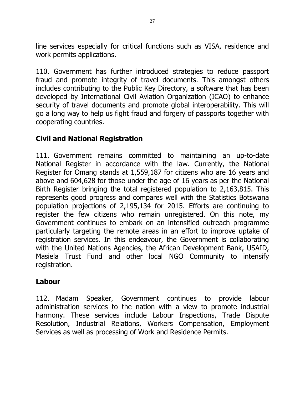line services especially for critical functions such as VISA, residence and work permits applications.

110. Government has further introduced strategies to reduce passport fraud and promote integrity of travel documents. This amongst others includes contributing to the Public Key Directory, a software that has been developed by International Civil Aviation Organization (ICAO) to enhance security of travel documents and promote global interoperability. This will go a long way to help us fight fraud and forgery of passports together with cooperating countries.

## Civil and National Registration

111. Government remains committed to maintaining an up-to-date National Register in accordance with the law. Currently, the National Register for Omang stands at 1,559,187 for citizens who are 16 years and above and 604,628 for those under the age of 16 years as per the National Birth Register bringing the total registered population to 2,163,815. This represents good progress and compares well with the Statistics Botswana population projections of 2,195,134 for 2015. Efforts are continuing to register the few citizens who remain unregistered. On this note, my Government continues to embark on an intensified outreach programme particularly targeting the remote areas in an effort to improve uptake of registration services. In this endeavour, the Government is collaborating with the United Nations Agencies, the African Development Bank, USAID, Masiela Trust Fund and other local NGO Community to intensify registration.

## Labour

112. Madam Speaker, Government continues to provide labour administration services to the nation with a view to promote industrial harmony. These services include Labour Inspections, Trade Dispute Resolution, Industrial Relations, Workers Compensation, Employment Services as well as processing of Work and Residence Permits.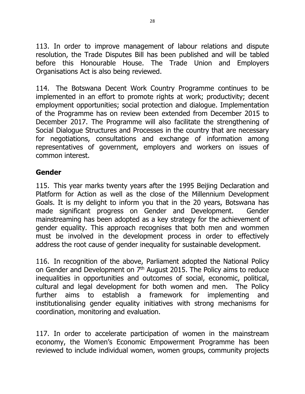113. In order to improve management of labour relations and dispute resolution, the Trade Disputes Bill has been published and will be tabled before this Honourable House. The Trade Union and Employers Organisations Act is also being reviewed.

114. The Botswana Decent Work Country Programme continues to be implemented in an effort to promote rights at work; productivity; decent employment opportunities; social protection and dialogue. Implementation of the Programme has on review been extended from December 2015 to December 2017. The Programme will also facilitate the strengthening of Social Dialogue Structures and Processes in the country that are necessary for negotiations, consultations and exchange of information among representatives of government, employers and workers on issues of common interest.

#### Gender

115. This year marks twenty years after the 1995 Beijing Declaration and Platform for Action as well as the close of the Millennium Development Goals. It is my delight to inform you that in the 20 years, Botswana has made significant progress on Gender and Development. Gender mainstreaming has been adopted as a key strategy for the achievement of gender equality. This approach recognises that both men and wommen must be involved in the development process in order to effectively address the root cause of gender inequality for sustainable development.

116. In recognition of the above, Parliament adopted the National Policy on Gender and Development on  $7<sup>th</sup>$  August 2015. The Policy aims to reduce inequalities in opportunities and outcomes of social, economic, political, cultural and legal development for both women and men. The Policy further aims to establish a framework for implementing and institutionalising gender equality initiatives with strong mechanisms for coordination, monitoring and evaluation.

117. In order to accelerate participation of women in the mainstream economy, the Women's Economic Empowerment Programme has been reviewed to include individual women, women groups, community projects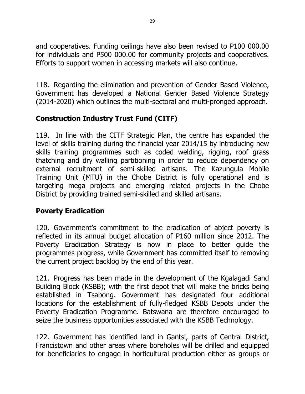and cooperatives. Funding ceilings have also been revised to P100 000.00 for individuals and P500 000.00 for community projects and cooperatives. Efforts to support women in accessing markets will also continue.

118. Regarding the elimination and prevention of Gender Based Violence, Government has developed a National Gender Based Violence Strategy (2014-2020) which outlines the multi-sectoral and multi-pronged approach.

# Construction Industry Trust Fund (CITF)

119. In line with the CITF Strategic Plan, the centre has expanded the level of skills training during the financial year 2014/15 by introducing new skills training programmes such as coded welding, rigging, roof grass thatching and dry walling partitioning in order to reduce dependency on external recruitment of semi-skilled artisans. The Kazungula Mobile Training Unit (MTU) in the Chobe District is fully operational and is targeting mega projects and emerging related projects in the Chobe District by providing trained semi-skilled and skilled artisans.

# Poverty Eradication

120. Government's commitment to the eradication of abject poverty is reflected in its annual budget allocation of P160 million since 2012. The Poverty Eradication Strategy is now in place to better guide the programmes progress, while Government has committed itself to removing the current project backlog by the end of this year.

121. Progress has been made in the development of the Kgalagadi Sand Building Block (KSBB); with the first depot that will make the bricks being established in Tsabong. Government has designated four additional locations for the establishment of fully-fledged KSBB Depots under the Poverty Eradication Programme. Batswana are therefore encouraged to seize the business opportunities associated with the KSBB Technology.

122. Government has identified land in Gantsi, parts of Central District, Francistown and other areas where boreholes will be drilled and equipped for beneficiaries to engage in horticultural production either as groups or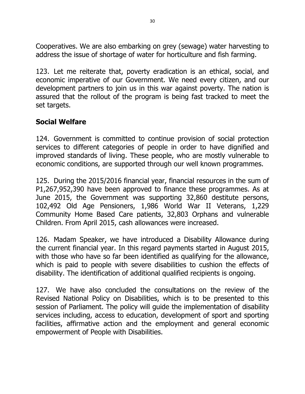Cooperatives. We are also embarking on grey (sewage) water harvesting to address the issue of shortage of water for horticulture and fish farming.

123. Let me reiterate that, poverty eradication is an ethical, social, and economic imperative of our Government. We need every citizen, and our development partners to join us in this war against poverty. The nation is assured that the rollout of the program is being fast tracked to meet the set targets.

### Social Welfare

124. Government is committed to continue provision of social protection services to different categories of people in order to have dignified and improved standards of living. These people, who are mostly vulnerable to economic conditions, are supported through our well known programmes.

125. During the 2015/2016 financial year, financial resources in the sum of P1,267,952,390 have been approved to finance these programmes. As at June 2015, the Government was supporting 32,860 destitute persons, 102,492 Old Age Pensioners, 1,986 World War II Veterans, 1,229 Community Home Based Care patients, 32,803 Orphans and vulnerable Children. From April 2015, cash allowances were increased.

126. Madam Speaker, we have introduced a Disability Allowance during the current financial year. In this regard payments started in August 2015, with those who have so far been identified as qualifying for the allowance, which is paid to people with severe disabilities to cushion the effects of disability. The identification of additional qualified recipients is ongoing.

127. We have also concluded the consultations on the review of the Revised National Policy on Disabilities, which is to be presented to this session of Parliament. The policy will guide the implementation of disability services including, access to education, development of sport and sporting facilities, affirmative action and the employment and general economic empowerment of People with Disabilities.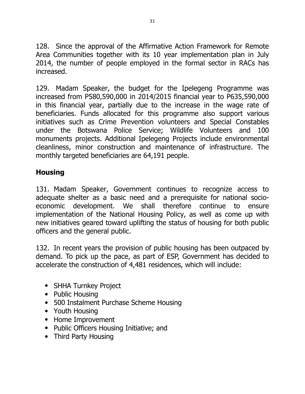128. Since the approval of the Affirmative Action Framework for Remote Area Communities together with its 10 year implementation plan in July 2014, the number of people employed in the formal sector in RACs has increased.

129. Madam Speaker, the budget for the Ipelegeng Programme was increased from P580,590,000 in 2014/2015 financial year to P635,590,000 in this financial year, partially due to the increase in the wage rate of beneficiaries. Funds allocated for this programme also support various initiatives such as Crime Prevention volunteers and Special Constables under the Botswana Police Service; Wildlife Volunteers and 100 monuments projects. Additional Ipelegeng Projects include environmental cleanliness, minor construction and maintenance of infrastructure. The monthly targeted beneficiaries are 64,191 people.

### **Housing**

131. Madam Speaker, Government continues to recognize access to adequate shelter as a basic need and a prerequisite for national socioeconomic development. We shall therefore continue to ensure implementation of the National Housing Policy, as well as come up with new initiatives geared toward uplifting the status of housing for both public officers and the general public.

132. In recent years the provision of public housing has been outpaced by demand. To pick up the pace, as part of ESP, Government has decided to accelerate the construction of 4,481 residences, which will include:

- SHHA Turnkey Project
- Public Housing
- 500 Instalment Purchase Scheme Housing
- Youth Housing
- Home Improvement
- Public Officers Housing Initiative; and
- Third Party Housing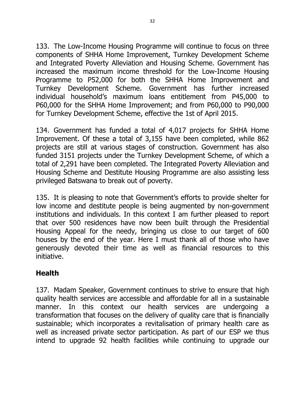133. The Low-Income Housing Programme will continue to focus on three components of SHHA Home Improvement, Turnkey Development Scheme and Integrated Poverty Alleviation and Housing Scheme. Government has increased the maximum income threshold for the Low-Income Housing Programme to P52,000 for both the SHHA Home Improvement and Turnkey Development Scheme. Government has further increased individual household's maximum loans entitlement from P45,000 to P60,000 for the SHHA Home Improvement; and from P60,000 to P90,000 for Turnkey Development Scheme, effective the 1st of April 2015.

134. Government has funded a total of 4,017 projects for SHHA Home Improvement. Of these a total of 3,155 have been completed, while 862 projects are still at various stages of construction. Government has also funded 3151 projects under the Turnkey Development Scheme, of which a total of 2,291 have been completed. The Integrated Poverty Alleviation and Housing Scheme and Destitute Housing Programme are also assisting less privileged Batswana to break out of poverty.

135. It is pleasing to note that Government's efforts to provide shelter for low income and destitute people is being augmented by non-government institutions and individuals. In this context I am further pleased to report that over 500 residences have now been built through the Presidential Housing Appeal for the needy, bringing us close to our target of 600 houses by the end of the year. Here I must thank all of those who have generously devoted their time as well as financial resources to this initiative.

## **Health**

137. Madam Speaker, Government continues to strive to ensure that high quality health services are accessible and affordable for all in a sustainable manner. In this context our health services are undergoing a transformation that focuses on the delivery of quality care that is financially sustainable; which incorporates a revitalisation of primary health care as well as increased private sector participation. As part of our ESP we thus intend to upgrade 92 health facilities while continuing to upgrade our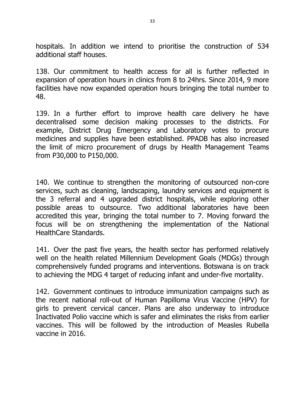hospitals. In addition we intend to prioritise the construction of 534 additional staff houses.

138. Our commitment to health access for all is further reflected in expansion of operation hours in clinics from 8 to 24hrs. Since 2014, 9 more facilities have now expanded operation hours bringing the total number to 48.

139. In a further effort to improve health care delivery he have decentralised some decision making processes to the districts. For example, District Drug Emergency and Laboratory votes to procure medicines and supplies have been established. PPADB has also increased the limit of micro procurement of drugs by Health Management Teams from P30,000 to P150,000.

140. We continue to strengthen the monitoring of outsourced non-core services, such as cleaning, landscaping, laundry services and equipment is the 3 referral and 4 upgraded district hospitals, while exploring other possible areas to outsource. Two additional laboratories have been accredited this year, bringing the total number to 7. Moving forward the focus will be on strengthening the implementation of the National HealthCare Standards.

141. Over the past five years, the health sector has performed relatively well on the health related Millennium Development Goals (MDGs) through comprehensively funded programs and interventions. Botswana is on track to achieving the MDG 4 target of reducing infant and under-five mortality.

142. Government continues to introduce immunization campaigns such as the recent national roll-out of Human Papilloma Virus Vaccine (HPV) for girls to prevent cervical cancer. Plans are also underway to introduce Inactivated Polio vaccine which is safer and eliminates the risks from earlier vaccines. This will be followed by the introduction of Measles Rubella vaccine in 2016.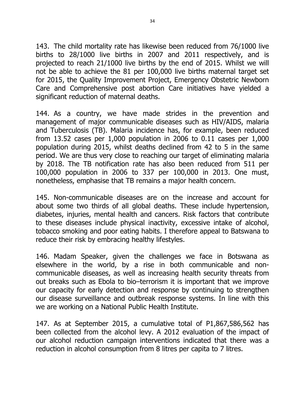143. The child mortality rate has likewise been reduced from 76/1000 live births to 28/1000 live births in 2007 and 2011 respectively, and is projected to reach 21/1000 live births by the end of 2015. Whilst we will not be able to achieve the 81 per 100,000 live births maternal target set for 2015, the Quality Improvement Project, Emergency Obstetric Newborn Care and Comprehensive post abortion Care initiatives have yielded a significant reduction of maternal deaths.

144. As a country, we have made strides in the prevention and management of major communicable diseases such as HIV/AIDS, malaria and Tuberculosis (TB). Malaria incidence has, for example, been reduced from 13.52 cases per 1,000 population in 2006 to 0.11 cases per 1,000 population during 2015, whilst deaths declined from 42 to 5 in the same period. We are thus very close to reaching our target of eliminating malaria by 2018. The TB notification rate has also been reduced from 511 per 100,000 population in 2006 to 337 per 100,000 in 2013. One must, nonetheless, emphasise that TB remains a major health concern.

145. Non-communicable diseases are on the increase and account for about some two thirds of all global deaths. These include hypertension, diabetes, injuries, mental health and cancers. Risk factors that contribute to these diseases include physical inactivity, excessive intake of alcohol, tobacco smoking and poor eating habits. I therefore appeal to Batswana to reduce their risk by embracing healthy lifestyles.

146. Madam Speaker, given the challenges we face in Botswana as elsewhere in the world, by a rise in both communicable and noncommunicable diseases, as well as increasing health security threats from out breaks such as Ebola to bio–terrorism it is important that we improve our capacity for early detection and response by continuing to strengthen our disease surveillance and outbreak response systems. In line with this we are working on a National Public Health Institute.

147. As at September 2015, a cumulative total of P1,867,586,562 has been collected from the alcohol levy. A 2012 evaluation of the impact of our alcohol reduction campaign interventions indicated that there was a reduction in alcohol consumption from 8 litres per capita to 7 litres.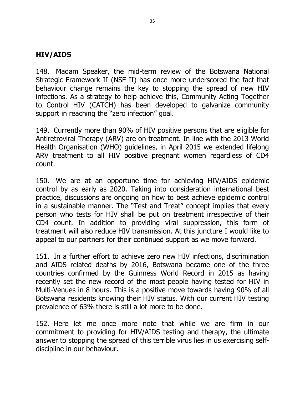#### HIV/AIDS

148. Madam Speaker, the mid-term review of the Botswana National Strategic Framework II (NSF II) has once more underscored the fact that behaviour change remains the key to stopping the spread of new HIV infections. As a strategy to help achieve this, Community Acting Together to Control HIV (CATCH) has been developed to galvanize community support in reaching the "zero infection" goal.

149. Currently more than 90% of HIV positive persons that are eligible for Antiretroviral Therapy (ARV) are on treatment. In line with the 2013 World Health Organisation (WHO) guidelines, in April 2015 we extended lifelong ARV treatment to all HIV positive pregnant women regardless of CD4 count.

150. We are at an opportune time for achieving HIV/AIDS epidemic control by as early as 2020. Taking into consideration international best practice, discussions are ongoing on how to best achieve epidemic control in a sustainable manner. The "Test and Treat" concept implies that every person who tests for HIV shall be put on treatment irrespective of their CD4 count. In addition to providing viral suppression, this form of treatment will also reduce HIV transmission. At this juncture I would like to appeal to our partners for their continued support as we move forward.

151. In a further effort to achieve zero new HIV infections, discrimination and AIDS related deaths by 2016, Botswana became one of the three countries confirmed by the Guinness World Record in 2015 as having recently set the new record of the most people having tested for HIV in Multi-Venues in 8 hours. This is a positive move towards having 90% of all Botswana residents knowing their HIV status. With our current HIV testing prevalence of 63% there is still a lot more to be done.

152. Here let me once more note that while we are firm in our commitment to providing for HIV/AIDS testing and therapy, the ultimate answer to stopping the spread of this terrible virus lies in us exercising selfdiscipline in our behaviour.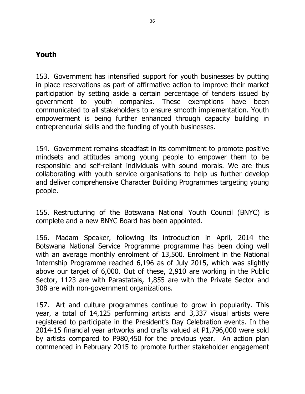### Youth

153. Government has intensified support for youth businesses by putting in place reservations as part of affirmative action to improve their market participation by setting aside a certain percentage of tenders issued by government to youth companies. These exemptions have been communicated to all stakeholders to ensure smooth implementation. Youth empowerment is being further enhanced through capacity building in entrepreneurial skills and the funding of youth businesses.

154. Government remains steadfast in its commitment to promote positive mindsets and attitudes among young people to empower them to be responsible and self-reliant individuals with sound morals. We are thus collaborating with youth service organisations to help us further develop and deliver comprehensive Character Building Programmes targeting young people.

155. Restructuring of the Botswana National Youth Council (BNYC) is complete and a new BNYC Board has been appointed.

156. Madam Speaker, following its introduction in April, 2014 the Botswana National Service Programme programme has been doing well with an average monthly enrolment of 13,500. Enrolment in the National Internship Programme reached 6,196 as of July 2015, which was slightly above our target of 6,000. Out of these, 2,910 are working in the Public Sector, 1123 are with Parastatals, 1,855 are with the Private Sector and 308 are with non-government organizations.

157. Art and culture programmes continue to grow in popularity. This year, a total of 14,125 performing artists and 3,337 visual artists were registered to participate in the President's Day Celebration events. In the 2014-15 financial year artworks and crafts valued at P1,796,000 were sold by artists compared to P980,450 for the previous year. An action plan commenced in February 2015 to promote further stakeholder engagement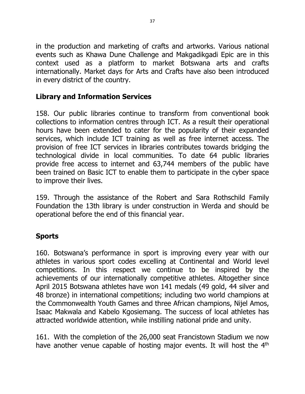in the production and marketing of crafts and artworks. Various national events such as Khawa Dune Challenge and Makgadikgadi Epic are in this context used as a platform to market Botswana arts and crafts internationally. Market days for Arts and Crafts have also been introduced in every district of the country.

## Library and Information Services

158. Our public libraries continue to transform from conventional book collections to information centres through ICT. As a result their operational hours have been extended to cater for the popularity of their expanded services, which include ICT training as well as free internet access. The provision of free ICT services in libraries contributes towards bridging the technological divide in local communities. To date 64 public libraries provide free access to internet and 63,744 members of the public have been trained on Basic ICT to enable them to participate in the cyber space to improve their lives.

159. Through the assistance of the Robert and Sara Rothschild Family Foundation the 13th library is under construction in Werda and should be operational before the end of this financial year.

## Sports

160. Botswana's performance in sport is improving every year with our athletes in various sport codes excelling at Continental and World level competitions. In this respect we continue to be inspired by the achievements of our internationally competitive athletes. Altogether since April 2015 Botswana athletes have won 141 medals (49 gold, 44 silver and 48 bronze) in international competitions; including two world champions at the Commonwealth Youth Games and three African champions, Nijel Amos, Isaac Makwala and Kabelo Kgosiemang. The success of local athletes has attracted worldwide attention, while instilling national pride and unity.

161. With the completion of the 26,000 seat Francistown Stadium we now have another venue capable of hosting major events. It will host the 4<sup>th</sup>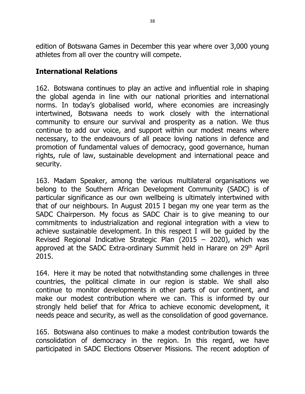edition of Botswana Games in December this year where over 3,000 young athletes from all over the country will compete.

### International Relations

162. Botswana continues to play an active and influential role in shaping the global agenda in line with our national priorities and international norms. In today's globalised world, where economies are increasingly intertwined, Botswana needs to work closely with the international community to ensure our survival and prosperity as a nation. We thus continue to add our voice, and support within our modest means where necessary, to the endeavours of all peace loving nations in defence and promotion of fundamental values of democracy, good governance, human rights, rule of law, sustainable development and international peace and security.

163. Madam Speaker, among the various multilateral organisations we belong to the Southern African Development Community (SADC) is of particular significance as our own wellbeing is ultimately intertwined with that of our neighbours. In August 2015 I began my one year term as the SADC Chairperson. My focus as SADC Chair is to give meaning to our commitments to industrialization and regional integration with a view to achieve sustainable development. In this respect I will be guided by the Revised Regional Indicative Strategic Plan (2015 – 2020), which was approved at the SADC Extra-ordinary Summit held in Harare on 29<sup>th</sup> April 2015.

164. Here it may be noted that notwithstanding some challenges in three countries, the political climate in our region is stable. We shall also continue to monitor developments in other parts of our continent, and make our modest contribution where we can. This is informed by our strongly held belief that for Africa to achieve economic development, it needs peace and security, as well as the consolidation of good governance.

165. Botswana also continues to make a modest contribution towards the consolidation of democracy in the region. In this regard, we have participated in SADC Elections Observer Missions. The recent adoption of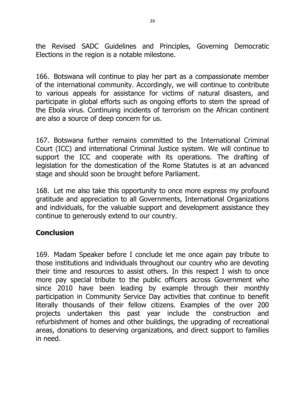the Revised SADC Guidelines and Principles, Governing Democratic Elections in the region is a notable milestone.

166. Botswana will continue to play her part as a compassionate member of the international community. Accordingly, we will continue to contribute to various appeals for assistance for victims of natural disasters, and participate in global efforts such as ongoing efforts to stem the spread of the Ebola virus. Continuing incidents of terrorism on the African continent are also a source of deep concern for us.

167. Botswana further remains committed to the International Criminal Court (ICC) and international Criminal Justice system. We will continue to support the ICC and cooperate with its operations. The drafting of legislation for the domestication of the Rome Statutes is at an advanced stage and should soon be brought before Parliament.

168. Let me also take this opportunity to once more express my profound gratitude and appreciation to all Governments, International Organizations and individuals, for the valuable support and development assistance they continue to generously extend to our country.

#### Conclusion

169. Madam Speaker before I conclude let me once again pay tribute to those institutions and individuals throughout our country who are devoting their time and resources to assist others. In this respect I wish to once more pay special tribute to the public officers across Government who since 2010 have been leading by example through their monthly participation in Community Service Day activities that continue to benefit literally thousands of their fellow citizens. Examples of the over 200 projects undertaken this past year include the construction and refurbishment of homes and other buildings, the upgrading of recreational areas, donations to deserving organizations, and direct support to families in need.